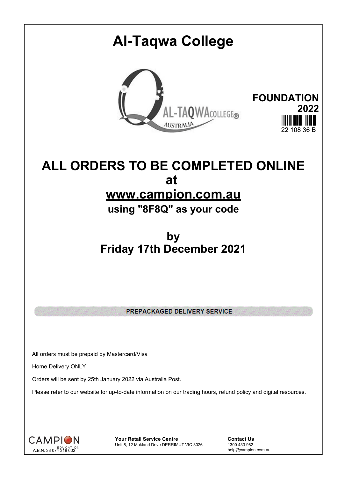## **Al-Taqwa College FOUNDATION** AL-TAQWACOLLEGE® **2022**  $22,408,36$  B

## **ALL ORDERS TO BE COMPLETED ONLINE at www.campion.com.au**

**using "8F8Q" as your code**

## **by Friday 17th December 2021**

PREPACKAGED DELIVERY SERVICE

All orders must be prepaid by Mastercard/Visa

Home Delivery ONLY

Orders will be sent by 25th January 2022 via Australia Post.

Please refer to our website for up-to-date information on our trading hours, refund policy and digital resources.



**Your Retail Service Centre Contact Us**<br>
Unit 8, 12 Makland Drive DERRIMUT VIC 3026
1300 433 982 Unit 8, 12 Makland Drive DERRIMUT VIC 3026

help@campion.com.au